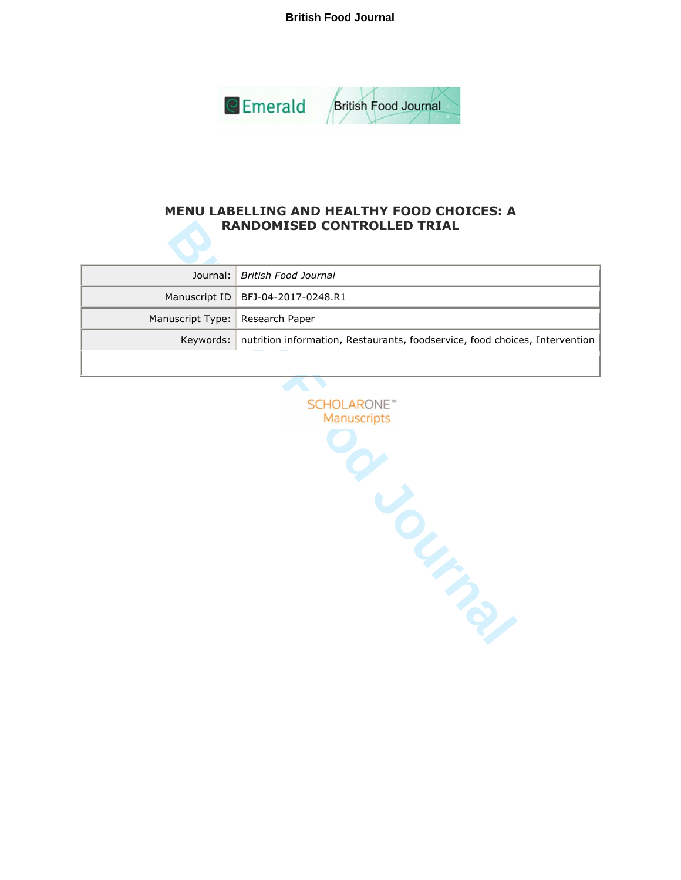**British Food Journal**



## **MENU LABELLING AND HEALTHY FOOD CHOICES: A RANDOMISED CONTROLLED TRIAL**

|                                   | Journal:   British Food Journal                                                         |  |
|-----------------------------------|-----------------------------------------------------------------------------------------|--|
|                                   | Manuscript ID   BFJ-04-2017-0248.R1                                                     |  |
| Manuscript Type:   Research Paper |                                                                                         |  |
|                                   | Keywords:   nutrition information, Restaurants, foodservice, food choices, Intervention |  |
|                                   |                                                                                         |  |

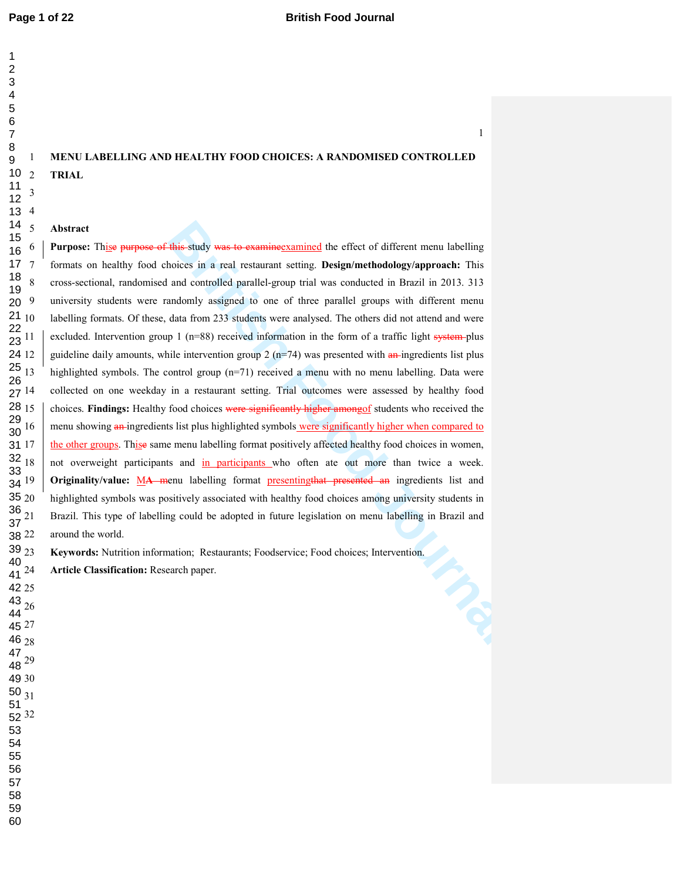# **MENU LABELLING AND HEALTHY FOOD CHOICES: A RANDOMISED CONTROLLED TRIAL**

## **Abstract**

**Hais study was to examine the effect of different menu labelling**<br> **British Food Analysis Constant Setting.** Design/methodology/approach: This<br>
and controlled parallel-group trial was conducted in Brazil in 2013. 313<br>
and **Purpose:** Thise purpose of this study was to examineexamined the effect of different menu labelling 7 formats on healthy food choices in a real restaurant setting. **Design/methodology/approach:** This 8 cross-sectional, randomised and controlled parallel-group trial was conducted in Brazil in 2013. 313 university students were randomly assigned to one of three parallel groups with different menu labelling formats. Of these, data from 233 students were analysed. The others did not attend and were excluded. Intervention group (n=88) received information in the form of a traffic light system-plus guideline daily amounts, while intervention group (n=74) was presented with an ingredients list plus highlighted symbols. The control group (n=71) received a menu with no menu labelling. Data were collected on one weekday in a restaurant setting. Trial outcomes were assessed by healthy food 15 choices. **Findings:** Healthy food choices were significantly higher amongof students who received the menu showing an ingredients list plus highlighted symbols were significantly higher when compared to the other groups. Thise same menu labelling format positively affected healthy food choices in women, not overweight participants and in participants who often ate out more than twice a week. **Originality/value:** MA menu labelling format presenting that presented an ingredients list and highlighted symbols was positively associated with healthy food choices among university students in Brazil. This type of labelling could be adopted in future legislation on menu labelling in Brazil and around the world.

**Keywords:** Nutrition information; Restaurants; Foodservice; Food choices; Intervention.

**Article Classification:** Research paper.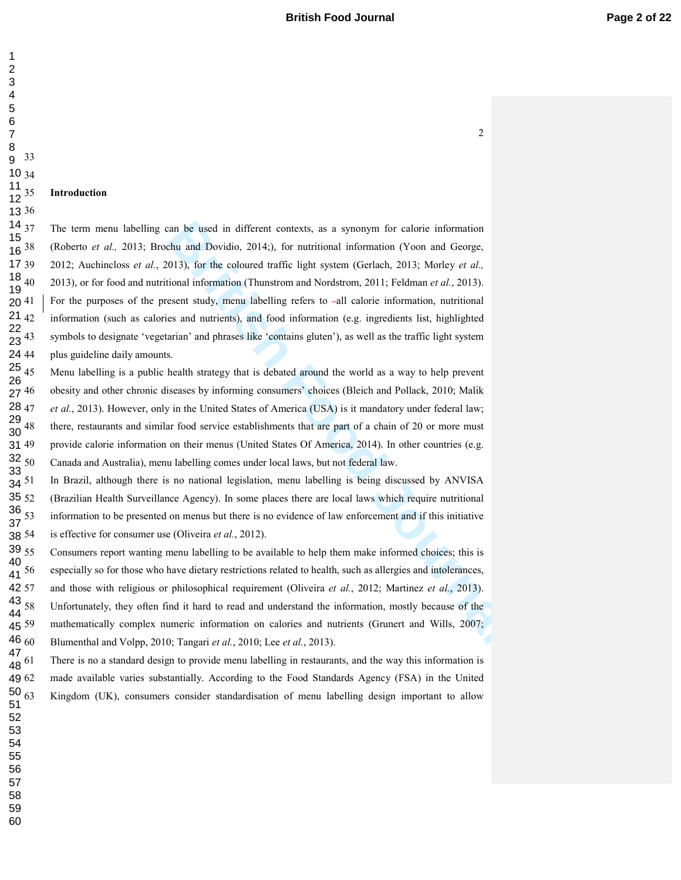## **British Food Journal** *Page 2 of 22*

#### 35 **Introduction**

an be used in different contexts, as a synonym for calorie information<br>chu and Dovidio, 2014;), for nutritional information (Yoon and George,<br>013), for the coloured traffic light system (Gerlach, 2013; Morley *et al.*,<br>io The term menu labelling can be used in different contexts, as a synonym for calorie information 38 (Roberto *et al.,* 2013; Brochu and Dovidio, 2014;), for nutritional information (Yoon and George, 39 2012; Auchincloss *et al.*, 2013), for the coloured traffic light system (Gerlach, 2013; Morley *et al.,* 40 2013), or for food and nutritional information (Thunstrom and Nordstrom, 2011; Feldman *et al.*, 2013). For the purposes of the present study, menu labelling refers to -all calorie information, nutritional information (such as calories and nutrients), and food information (e.g. ingredients list, highlighted symbols to designate 'vegetarian' and phrases like 'contains gluten'), as well as the traffic light system plus guideline daily amounts.

Menu labelling is a public health strategy that is debated around the world as a way to help prevent obesity and other chronic diseases by informing consumers' choices (Bleich and Pollack, 2010; Malik et al., 2013). However, only in the United States of America (USA) is it mandatory under federal law; there, restaurants and similar food service establishments that are part of a chain of 20 or more must provide calorie information on their menus (United States Of America, 2014). In other countries (e.g. 50 Canada and Australia), menu labelling comes under local laws, but not federal law.

51 In Brazil, although there is no national legislation, menu labelling is being discussed by ANVISA 52 (Brazilian Health Surveillance Agency). In some places there are local laws which require nutritional 53 information to be presented on menus but there is no evidence of law enforcement and if this initiative is effective for consumer use (Oliveira *et al.*, 2012).

55 Consumers report wanting menu labelling to be available to help them make informed choices; this is 56 especially so for those who have dietary restrictions related to health, such as allergies and intolerances, 57 and those with religious or philosophical requirement (Oliveira *et al.*, 2012; Martinez *et al.*, 2013). Unfortunately, they often find it hard to read and understand the information, mostly because of the mathematically complex numeric information on calories and nutrients (Grunert and Wills, 2007; 60 Blumenthal and Volpp, 2010; Tangari *et al.*, 2010; Lee *et al.*, 2013).

There is no a standard design to provide menu labelling in restaurants, and the way this information is made available varies substantially. According to the Food Standards Agency (FSA) in the United Kingdom (UK), consumers consider standardisation of menu labelling design important to allow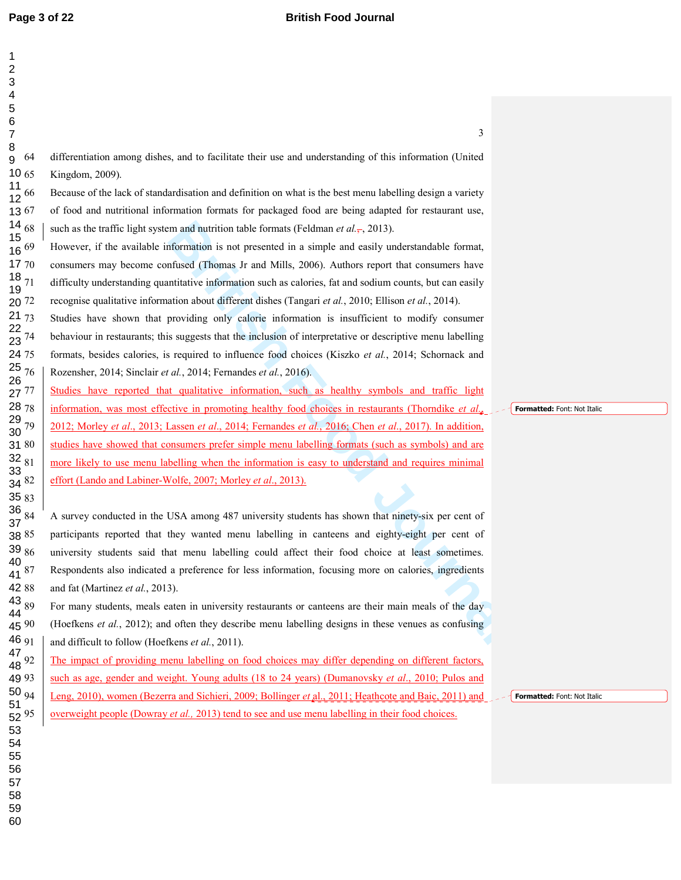| 1<br>2<br>3                                              |    |                                                                                                             |    |
|----------------------------------------------------------|----|-------------------------------------------------------------------------------------------------------------|----|
| $\overline{\mathbf{4}}$                                  |    |                                                                                                             |    |
| 5                                                        |    |                                                                                                             |    |
| 6<br>$\overline{7}$                                      |    | 3                                                                                                           |    |
| 8                                                        |    |                                                                                                             |    |
| 9                                                        | 64 | differentiation among dishes, and to facilitate their use and understanding of this information (United     |    |
| $10_{65}$                                                |    | Kingdom, 2009).                                                                                             |    |
| $\frac{11}{12}$ 66                                       |    | Because of the lack of standardisation and definition on what is the best menu labelling design a variety   |    |
| 1367                                                     |    | of food and nutritional information formats for packaged food are being adapted for restaurant use,         |    |
| $\begin{array}{c}\n 1468 \\  156 \\  1669\n \end{array}$ |    | such as the traffic light system and nutrition table formats (Feldman <i>et al.</i> , 2013).                |    |
|                                                          |    | However, if the available information is not presented in a simple and easily understandable format,        |    |
| 17 70                                                    |    | consumers may become confused (Thomas Jr and Mills, 2006). Authors report that consumers have               |    |
| $\begin{array}{c} 18 \\ 19 \end{array} 71$               |    | difficulty understanding quantitative information such as calories, fat and sodium counts, but can easily   |    |
| 20 72                                                    |    | recognise qualitative information about different dishes (Tangari et al., 2010; Ellison et al., 2014).      |    |
| 2173                                                     |    | Studies have shown that providing only calorie information is insufficient to modify consumer               |    |
| $\frac{22}{23}$ 74                                       |    | behaviour in restaurants; this suggests that the inclusion of interpretative or descriptive menu labelling  |    |
| 24 75                                                    |    | formats, besides calories, is required to influence food choices (Kiszko et al., 2014; Schornack and        |    |
| $\begin{array}{c} 25 \\ 26 \end{array}$ 76               |    | Rozensher, 2014; Sinclair et al., 2014; Fernandes et al., 2016).                                            |    |
| 27 77                                                    |    | Studies have reported that qualitative information, such as healthy symbols and traffic light               |    |
| 28 78                                                    |    | information, was most effective in promoting healthy food choices in restaurants (Thorndike <i>et al.</i> , |    |
| $\frac{29}{30}$ 79                                       |    | 2012; Morley et al., 2013; Lassen et al., 2014; Fernandes et al., 2016; Chen et al., 2017). In addition,    |    |
| 31 80                                                    |    | studies have showed that consumers prefer simple menu labelling formats (such as symbols) and are           |    |
| $32_{81}$                                                |    | more likely to use menu labelling when the information is easy to understand and requires minimal           |    |
| 33<br>34 82                                              |    | effort (Lando and Labiner-Wolfe, 2007; Morley et al., 2013).                                                |    |
| 35 83                                                    |    |                                                                                                             |    |
| $\frac{36}{37}$ 84                                       |    | A survey conducted in the USA among 487 university students has shown that ninety-six per cent of           |    |
| 38 85                                                    |    | participants reported that they wanted menu labelling in canteens and eighty-eight per cent of              |    |
| $39\;86$                                                 |    | university students said that menu labelling could affect their food choice at least sometimes.             |    |
| 40<br>41 87                                              |    | Respondents also indicated a preference for less information, focusing more on calories, ingredients        |    |
| 4288                                                     |    | and fat (Martinez et al., 2013).                                                                            |    |
| $43_{89}$                                                |    | For many students, meals eaten in university restaurants or canteens are their main meals of the day        |    |
| 44<br>45 90                                              |    | (Hoefkens et al., 2012); and often they describe menu labelling designs in these venues as confusing        |    |
| 46 91                                                    |    | and difficult to follow (Hoefkens et al., 2011).                                                            |    |
| $\begin{array}{c} 47 \\ 48 \end{array}$ 92               |    | The impact of providing menu labelling on food choices may differ depending on different factors,           |    |
| 49 93                                                    |    | such as age, gender and weight. Young adults (18 to 24 years) (Dumanovsky et al., 2010; Pulos and           |    |
| 5094                                                     |    | Leng, 2010), women (Bezerra and Sichieri, 2009; Bollinger et al., 2011; Heathcote and Baic, 2011) and       | ┦╻ |
| 51<br>$52^{95}$                                          |    | overweight people (Dowray et al., 2013) tend to see and use menu labelling in their food choices.           |    |
| 53                                                       |    |                                                                                                             |    |

**Formatted:** Font: Not Italic

**Formatted:** Font: Not Italic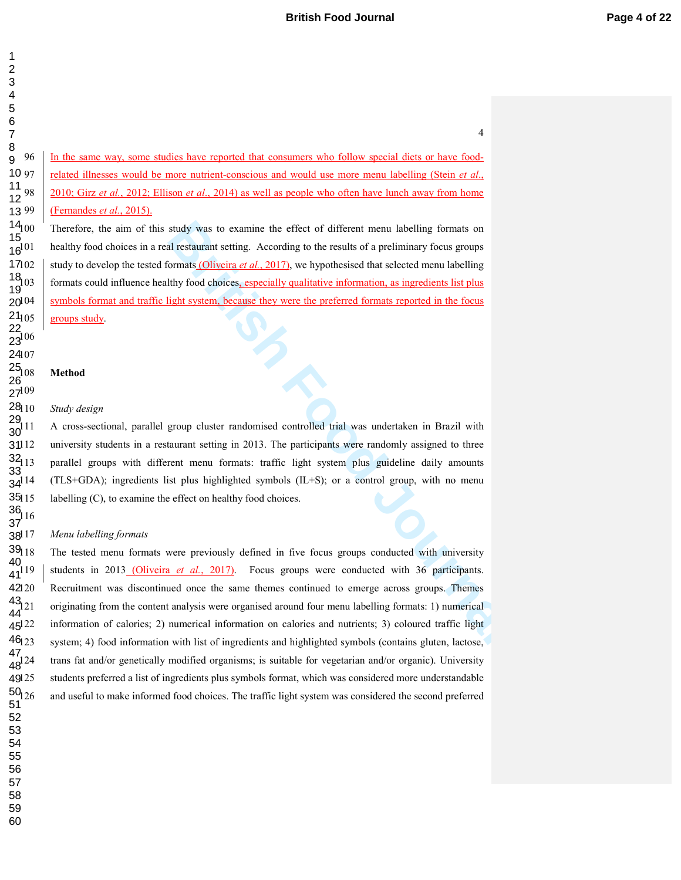96 In the same way, some studies have reported that consumers who follow special diets or have food-97 related illnesses would be more nutrient-conscious and would use more menu labelling (Stein *et al*., 98 2010; Girz *et al.*, 2012; Ellison *et al*., 2014) as well as people who often have lunch away from home 99 (Fernandes *et al.*, 2015). 10 97 13 99

study was to examine the effect of different menu labelling formats on<br>al restaurant setting. According to the results of a preliminary focus groups<br>ormats <u>(Oliveira et al., 2017</u>), we hypothesised that selected menu labe Therefore, the aim of this study was to examine the effect of different menu labelling formats on healthy food choices in a real restaurant setting. According to the results of a preliminary focus groups 102 study to develop the tested formats (Oliveira *et al.*, 2017), we hypothesised that selected menu labelling formats could influence healthy food choices, especially qualitative information, as ingredients list plus symbols format and traffic light system, because they were the preferred formats reported in the focus groups study.  $14_{00}$ 17102 20104  $21_{105}$ 

### **Method**

23

25 26 27

29 30

32 33 34

11 12

15 16

18 19

109

 $\frac{36}{2}$ 16

37

40 41

43 44 45

47 48

#### **Study design** 2810

111 A cross-sectional, parallel group cluster randomised controlled trial was undertaken in Brazil with university students in a restaurant setting in 2013. The participants were randomly assigned to three parallel groups with different menu formats: traffic light system plus guideline daily amounts  $(TLS+GDA)$ ; ingredients list plus highlighted symbols  $(IL+S)$ ; or a control group, with no menu labelling  $(C)$ , to examine the effect on healthy food choices.  $\frac{2}{31112}$ 35115

#### $M$ enu labelling formats  $38^{17}$

The tested menu formats were previously defined in five focus groups conducted with university students in 2013 (Oliveira *et al.*, 2017). Focus groups were conducted with 36 participants. Recruitment was discontinued once the same themes continued to emerge across groups. Themes originating from the content analysis were organised around four menu labelling formats: 1) numerical information of calories; 2) numerical information on calories and nutrients; 3) coloured traffic light system; 4) food information with list of ingredients and highlighted symbols (contains gluten, lactose, trans fat and/or genetically modified organisms; is suitable for vegetarian and/or organic). University students preferred a list of ingredients plus symbols format, which was considered more understandable and useful to make informed food choices. The traffic light system was considered the second preferred  $39_{118}$ 42120 46123 49125  $50_{126}$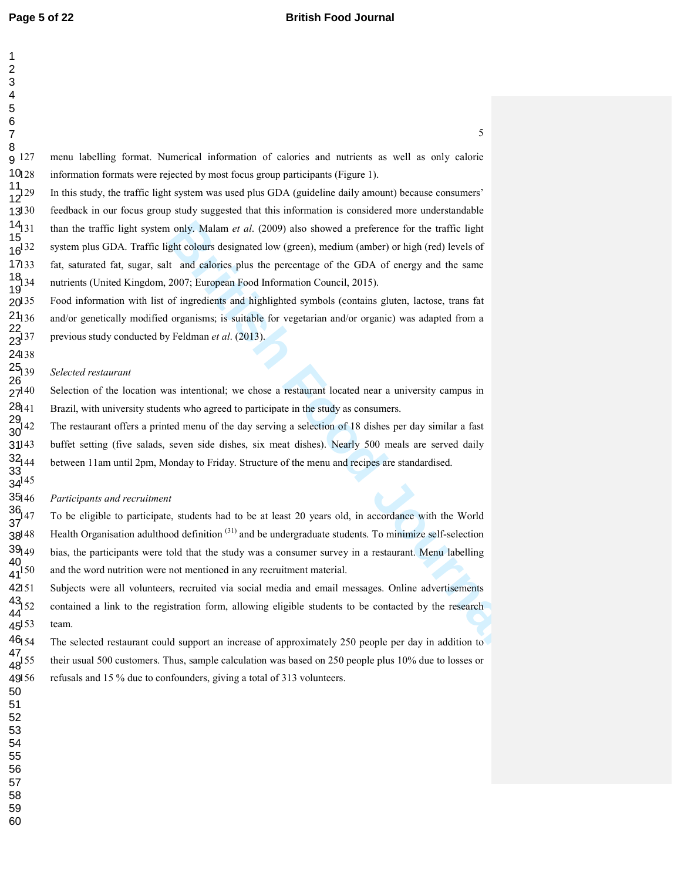| 1<br>2                                                |                                                                                                                    |
|-------------------------------------------------------|--------------------------------------------------------------------------------------------------------------------|
| 3                                                     |                                                                                                                    |
| 4<br>5                                                |                                                                                                                    |
| 6                                                     |                                                                                                                    |
| 7                                                     | 5                                                                                                                  |
| 8<br>g 127                                            | menu labelling format. Numerical information of calories and nutrients as well as only calorie                     |
| $10_{128}$                                            | information formats were rejected by most focus group participants (Figure 1).                                     |
| $\frac{11}{12}$ <sup>129</sup>                        | In this study, the traffic light system was used plus GDA (guideline daily amount) because consumers'              |
| 13130                                                 | feedback in our focus group study suggested that this information is considered more understandable                |
|                                                       | than the traffic light system only. Malam et al. (2009) also showed a preference for the traffic light             |
| $14_{131}$<br>$15_{16}$<br>$16^{132}$                 | system plus GDA. Traffic light colours designated low (green), medium (amber) or high (red) levels of              |
| 17133                                                 | fat, saturated fat, sugar, salt and calories plus the percentage of the GDA of energy and the same                 |
| $\frac{18}{19}$ 34                                    | nutrients (United Kingdom, 2007; European Food Information Council, 2015).                                         |
| 20135                                                 | Food information with list of ingredients and highlighted symbols (contains gluten, lactose, trans fat             |
|                                                       | and/or genetically modified organisms; is suitable for vegetarian and/or organic) was adapted from a               |
| $\frac{21_{136}}{22_{137}}$                           | previous study conducted by Feldman et al. (2013).                                                                 |
| 24138                                                 |                                                                                                                    |
| $\frac{25}{26}$<br>$\frac{26}{27}$<br>$\frac{40}{27}$ | Selected restaurant                                                                                                |
|                                                       | Selection of the location was intentional; we chose a restaurant located near a university campus in               |
| $28141$<br>$29142$<br>$30^{142}$                      | Brazil, with university students who agreed to participate in the study as consumers.                              |
|                                                       | The restaurant offers a printed menu of the day serving a selection of 18 dishes per day similar a fast            |
|                                                       | buffet setting (five salads, seven side dishes, six meat dishes). Nearly 500 meals are served daily                |
| $31^{143}$<br>$32_{144}$<br>$33$<br>$34^{145}$        | between 11 am until 2pm, Monday to Friday. Structure of the menu and recipes are standardised.                     |
|                                                       |                                                                                                                    |
| 35146                                                 | Participants and recruitment                                                                                       |
| $\frac{36}{37}$ 47                                    | To be eligible to participate, students had to be at least 20 years old, in accordance with the World              |
| 38148                                                 | Health Organisation adulthood definition <sup>(31)</sup> and be undergraduate students. To minimize self-selection |
| 39149                                                 | bias, the participants were told that the study was a consumer survey in a restaurant. Menu labelling              |
| $\frac{40}{41}$ 50                                    | and the word nutrition were not mentioned in any recruitment material.                                             |
| 42151                                                 | Subjects were all volunteers, recruited via social media and email messages. Online advertisements                 |
| $\frac{43}{44}$ 52                                    | contained a link to the registration form, allowing eligible students to be contacted by the research              |
| $45^{153}$                                            | team.                                                                                                              |
| $46_{154}$                                            | The selected restaurant could support an increase of approximately 250 people per day in addition to               |

#### *Participants and recruitment*

The selected restaurant could support an increase of approximately 250 people per day in addition to their usual 500 customers. Thus, sample calculation was based on 250 people plus 10% due to losses or refusals and 15 % due to confounders, giving a total of 313 volunteers.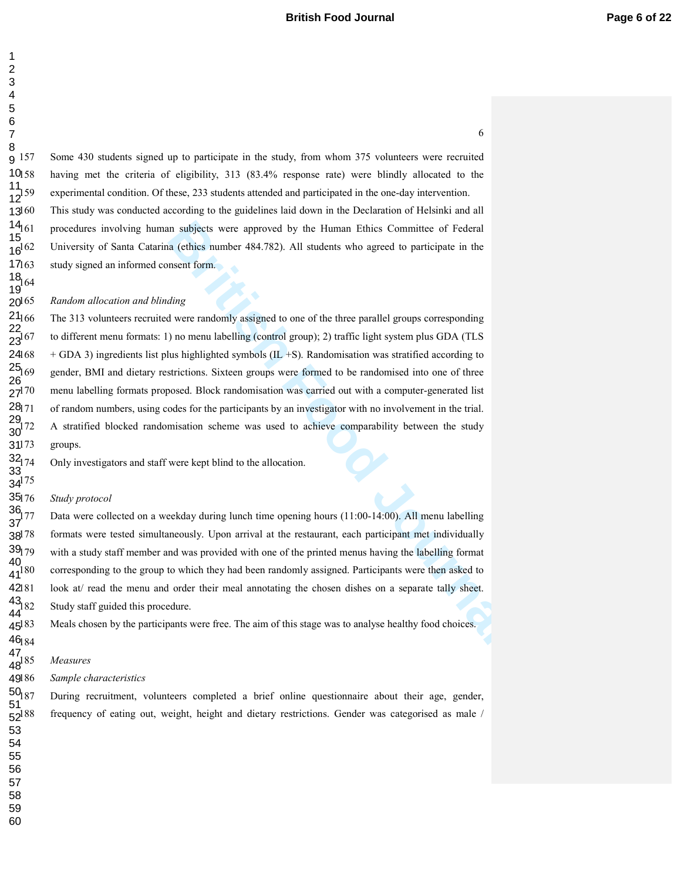Some 430 students signed up to participate in the study, from whom 375 volunteers were recruited having met the criteria of eligibility, 313 (83.4% response rate) were blindly allocated to the experimental condition. Of these, 233 students attended and participated in the one-day intervention. g 157 

160 This study was conducted according to the guidelines laid down in the Declaration of Helsinki and all 161 procedures involving human subjects were approved by the Human Ethics Committee of Federal University of Santa Catarina (ethics number 484.782). All students who agreed to participate in the study signed an informed consent form.  $13^{160}$  

*Random allocation and blinding*   $20^{165}$ 

In subjects were approved by the Human Ethics Committee of Federal<br>a (ethics number 484.782). All students who agreed to participate in the<br>mean form.<br>ding<br>due were anadomly assigned to one of the three parallel groups cor The 313 volunteers recruited were randomly assigned to one of the three parallel groups corresponding to different menu formats: 1) no menu labelling (control group); 2) traffic light system plus GDA (TLS 168 + GDA 3) ingredients list plus highlighted symbols (IL +S). Randomisation was stratified according to gender, BMI and dietary restrictions. Sixteen groups were formed to be randomised into one of three menu labelling formats proposed. Block randomisation was carried out with a computer-generated list of random numbers, using codes for the participants by an investigator with no involvement in the trial. A stratified blocked randomisation scheme was used to achieve comparability between the study groups. 

Only investigators and staff were kept blind to the allocation.

#### **Study protocol**

 

 

 

 $\frac{18}{10}64$ 

 

Data were collected on a weekday during lunch time opening hours (11:00-14:00). All menu labelling formats were tested simultaneously. Upon arrival at the restaurant, each participant met individually with a study staff member and was provided with one of the printed menus having the labelling format 180 corresponding to the group to which they had been randomly assigned. Participants were then asked to look at/ read the menu and order their meal annotating the chosen dishes on a separate tally sheet. Study staff guided this procedure.  $38^{178}$ 

Meals chosen by the participants were free. The aim of this stage was to analyse healthy food choices. 

 $Measures$ 

46<sub>184</sub>

 

 

 $Sample$ *characteristics* 

187 During recruitment, volunteers completed a brief online questionnaire about their age, gender, frequency of eating out, weight, height and dietary restrictions. Gender was categorised as male /  $52^{188}$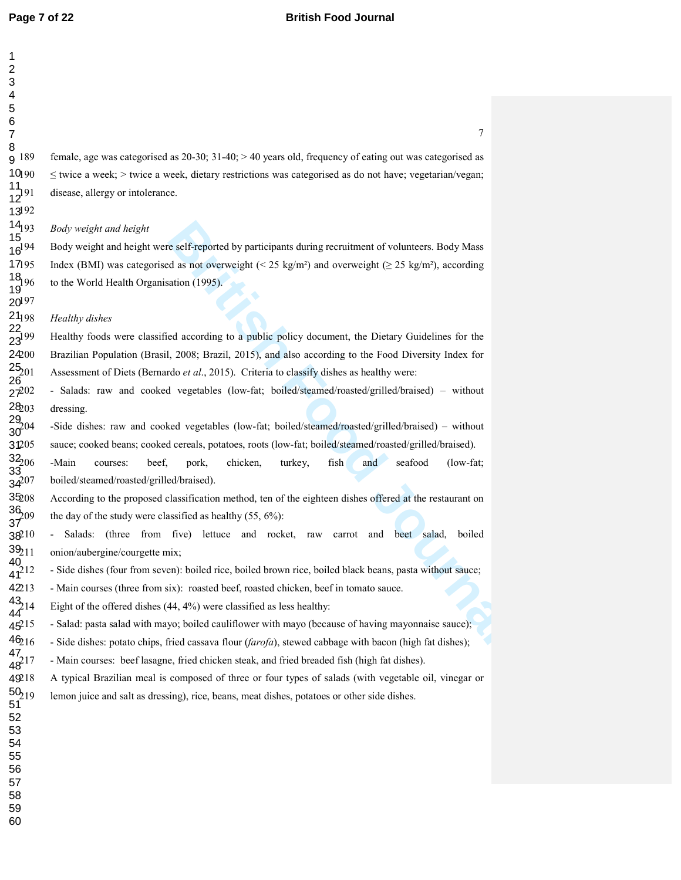| 2                                       |
|-----------------------------------------|
| 3                                       |
| 4                                       |
| 5                                       |
| 6                                       |
|                                         |
| 7                                       |
| 8                                       |
| 189<br>9                                |
| 10լ 90                                  |
| 1                                       |
| $\frac{1}{2}$ 191<br>1                  |
| 31 92<br>13                             |
| $14_{193}$                              |
| 15                                      |
| $16^{194}$                              |
| 17195                                   |
|                                         |
| $\frac{18}{196}$                        |
| 19 <sup>1 zu</sup><br>20 <sup>197</sup> |
|                                         |
| $21_{198}$                              |
| 22,                                     |
| $3^{199}$                               |
| 2400                                    |
| $25_{201}$                              |
| 26                                      |
| $27^{202}$                              |
| 28,03                                   |
|                                         |
| $29\atop 204$<br>30                     |
|                                         |
| 31205                                   |
| S,<br>206                               |
| 3.                                      |
| $34^{207}$                              |
| 35208<br>ŗ                              |
| $\frac{36}{7}$ 09                       |
|                                         |
| 38210                                   |
| $39_{211}$                              |
| 40                                      |
| $41^{212}$                              |
| 421<br>$\overline{3}$                   |
| $43\frac{1}{2}$                         |
| $\mathbf{1}$<br>$\overline{4}$<br>44    |
| $45^{21}$                               |
|                                         |
| $46_{216}$                              |
| 47<br>$\overline{21}$                   |
| 48                                      |
| 8<br>4921                               |
| $50_{219}$                              |
| 51                                      |
| 52                                      |
| 53                                      |
| 54                                      |
| 55                                      |
| 56                                      |
| 57                                      |
| -<br>58                                 |
|                                         |

  9 female, age was categorised as  $20-30$ ;  $31-40$ ;  $> 40$  years old, frequency of eating out was categorised as  $190 \le$  twice a week;  $>$  twice a week, dietary restrictions was categorised as do not have; vegetarian/vegan; disease, allergy or intolerance.

*Body weight and height* 

**Bridge Start Start Start Start Start Start Start Start Start Start Start Start Start Start Start Start Start Start Start Start Start Start Start Start Start Start Start Start Start Start Start Start Start Start Start Sta** 194 Body weight and height were self-reported by participants during recruitment of volunteers. Body Mass 195 Index (BMI) was categorised as not overweight (< 25 kg/m²) and overweight (≥ 25 kg/m²), according 6 to the World Health Organisation (1995).

*Healthy dishes* 

199 Healthy foods were classified according to a public policy document, the Dietary Guidelines for the 200 Brazilian Population (Brasil, 2008; Brazil, 2015), and also according to the Food Diversity Index for Assessment of Diets (Bernardo et al., 2015). Criteria to classify dishes as healthy were:

202 - Salads: raw and cooked vegetables (low-fat; boiled/steamed/roasted/grilled/braised) – without 3 dressing.

204 -Side dishes: raw and cooked vegetables (low-fat; boiled/steamed/roasted/grilled/braised) – without 205 sauce; cooked beans; cooked cereals, potatoes, roots (low-fat; boiled/steamed/roasted/grilled/braised).

206 -Main courses: beef, pork, chicken, turkey, fish and seafood (low-fat; 7 boiled/steamed/roasted/grilled/braised).

2088 According to the proposed classification method, ten of the eighteen dishes offered at the restaurant on the day of the study were classified as healthy (55,  $6\%$ ):

210 - Salads: (three from five) lettuce and rocket, raw carrot and beet salad, boiled 1 onion/aubergine/courgette mix;

2<sup>1</sup> - Side dishes (four from seven): boiled rice, boiled brown rice, boiled black beans, pasta without sauce;

213 - Main courses (three from six): roasted beef, roasted chicken, beef in tomato sauce.

4 Eight of the offered dishes  $(44, 4\%)$  were classified as less healthy:

5 - Salad: pasta salad with mayo; boiled cauliflower with mayo (because of having mayonnaise sauce);

<sup>216</sup> - Side dishes: potato chips, fried cassava flour (*farofa*), stewed cabbage with bacon (high fat dishes);

217 - Main courses: beef lasagne, fried chicken steak, and fried breaded fish (high fat dishes).

218 A typical Brazilian meal is composed of three or four types of salads (with vegetable oil, vinegar or

9 lemon juice and salt as dressing), rice, beans, meat dishes, potatoes or other side dishes.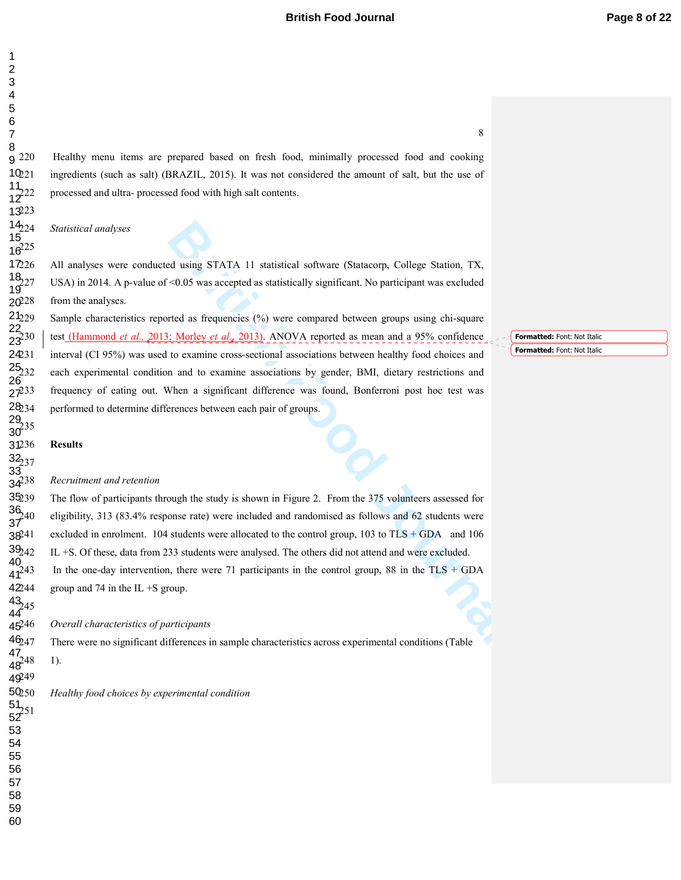## **British Food Journal** *Page 8 of 22*

220 Healthy menu items are prepared based on fresh food, minimally processed food and cooking ingredients (such as salt) (BRAZIL, 2015). It was not considered the amount of salt, but the use of processed and ultra- processed food with high salt contents. g 220  $10_{21}$ 

*Statistical analyses* 

223

 

 

 

 

 

226 All analyses were conducted using STATA 11 statistical software (Statacorp, College Station, TX, USA) in 2014. A p-value of  $\leq 0.05$  was accepted as statistically significant. No participant was excluded from the analyses. 

**Bridge STATA 11** statistical software (Statacorp, College Station, TX,  $\approx$  0.05 was accepted as statistically significant. No participant was excluded tred as frequencies (%) were compared between groups using chi-squar Sample characteristics reported as frequencies (%) were compared between groups using chi-square 230 test (Hammond *et al.,* 2013; Morley *et al.*, 2013). ANOVA reported as mean and a 95% confidence interval (CI 95%) was used to examine cross-sectional associations between healthy food choices and each experimental condition and to examine associations by gender, BMI, dietary restrictions and frequency of eating out. When a significant difference was found, Bonferroni post hoc test was performed to determine differences between each pair of groups. 

**Results** 

 $^{29}_{235}$ 

 

 

 $32_{237}$ 

<sub>51</sub>

#### $Recruitment$  and retention

The flow of participants through the study is shown in Figure 2. From the 375 volunteers assessed for 240 eligibility, 313 (83.4% response rate) were included and randomised as follows and 62 students were excluded in enrolment. 104 students were allocated to the control group, 103 to  $TLS + GDA$  and 106 IL +S. Of these, data from 233 students were analysed. The others did not attend and were excluded. In the one-day intervention, there were 71 participants in the control group, 88 in the TLS + GDA 

group and 74 in the IL  $+$ S group.  $43/45$ 

*Overall characteristics of participants* 

There were no significant differences in sample characteristics across experimental conditions (Table <sub>49</sub> 248 1). 

*Healthy food choices by experimental condition*  

**Formatted:** Font: Not Italic **Formatted:** Font: Not Italic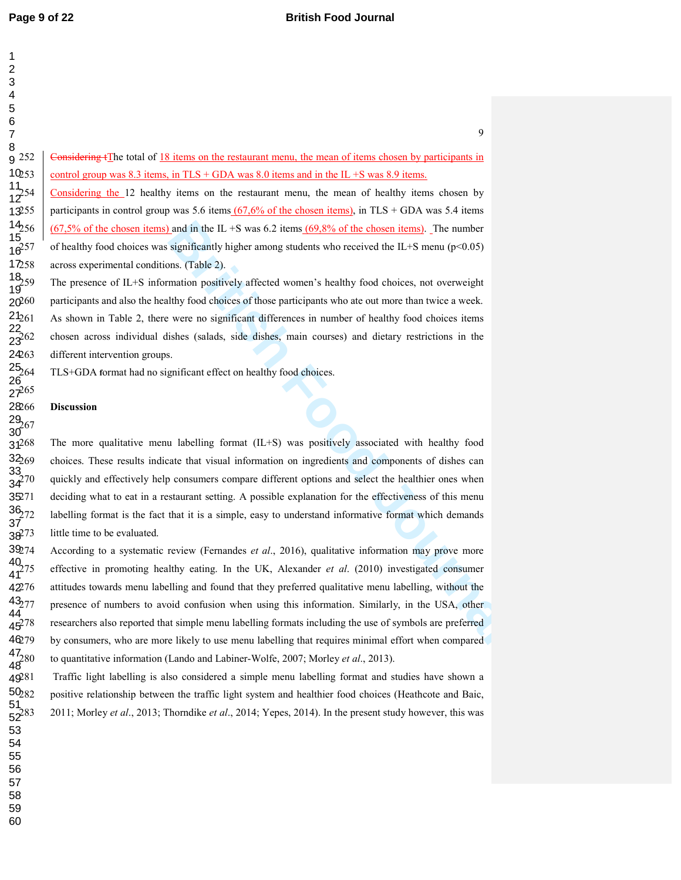252 Considering tThe total of 18 items on the restaurant menu, the mean of items chosen by participants in control group was 8.3 items, in  $TLS + GDA$  was 8.0 items and in the IL +S was 8.9 items. 254 Considering the 12 healthy items on the restaurant menu, the mean of healthy items chosen by

participants in control group was 5.6 items  $(67,6\%$  of the chosen items), in TLS + GDA was 5.4 items  $(67,5\%$  of the chosen items) and in the IL +S was 6.2 items  $(69,8\%$  of the chosen items). The number of healthy food choices was significantly higher among students who received the IL+S menu ( $p<0.05$ ) across experimental conditions. (Table 2).

The presence of IL+S information positively affected women's healthy food choices, not overweight participants and also the healthy food choices of those participants who ate out more than twice a week. As shown in Table 2, there were no significant differences in number of healthy food choices items 262 chosen across individual dishes (salads, side dishes, main courses) and dietary restrictions in the different intervention groups.

264 TLS+GDA **f**ormat had no significant effect on healthy food choices.

### **Discussion**

Land in the IL +S was 6.2 items.(69.8% of the chosen items). The number<br>significantly higher among students who received the IL+S menu (p<0.05)<br>ms. (Table 2).<br>mation positively affected women's healthy food choices, not o 268 The more qualitative menu labelling format (IL+S) was positively associated with healthy food 269 choices. These results indicate that visual information on ingredients and components of dishes can quickly and effectively help consumers compare different options and select the healthier ones when deciding what to eat in a restaurant setting. A possible explanation for the effectiveness of this menu labelling format is the fact that it is a simple, easy to understand informative format which demands little time to be evaluated.

274 According to a systematic review (Fernandes *et al*., 2016), qualitative information may prove more 275 effective in promoting healthy eating. In the UK, Alexander *et al*. (2010) investigated consumer 276 attitudes towards menu labelling and found that they preferred qualitative menu labelling, without the presence of numbers to avoid confusion when using this information. Similarly, in the USA, other 278 researchers also reported that simple menu labelling formats including the use of symbols are preferred by consumers, who are more likely to use menu labelling that requires minimal effort when compared 280 to quantitative information (Lando and Labiner-Wolfe, 2007; Morley *et al*., 2013).

Traffic light labelling is also considered a simple menu labelling format and studies have shown a positive relationship between the traffic light system and healthier food choices (Heathcote and Baic, 283 2011; Morley *et al*., 2013; Thorndike *et al*., 2014; Yepes, 2014). In the present study however, this was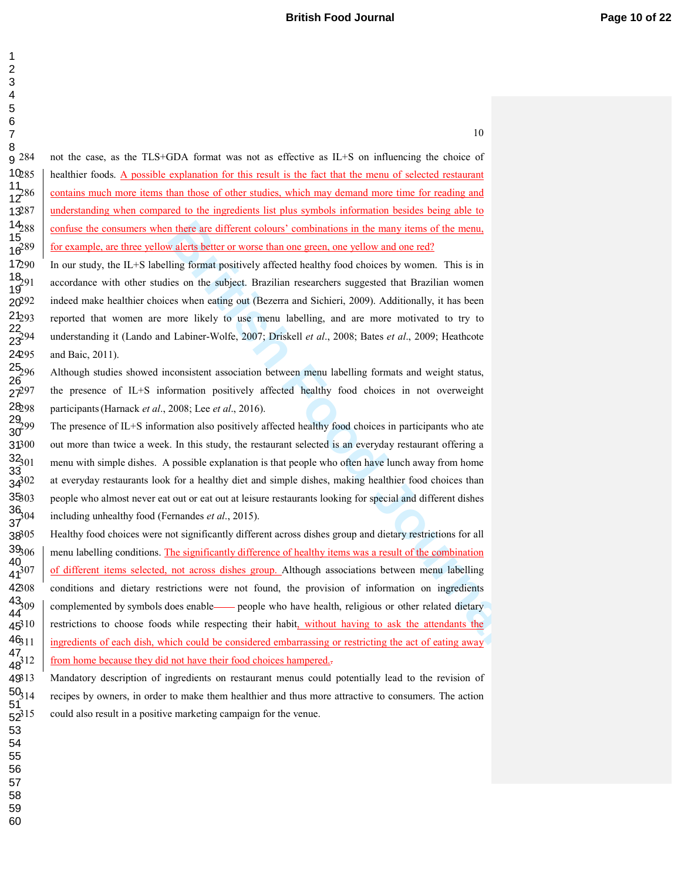284 not the case, as the TLS+GDA format was not as effective as IL+S on influencing the choice of healthier foods. A possible explanation for this result is the fact that the menu of selected restaurant contains much more items than those of other studies, which may demand more time for reading and 287 understanding when compared to the ingredients list plus symbols information besides being able to confuse the consumers when there are different colours' combinations in the many items of the menu, for example, are three yellow alerts better or worse than one green, one yellow and one red? g 284 

> 

> 

> 

In our study, the IL+S labelling format positively affected healthy food choices by women. This is in accordance with other studies on the subject. Brazilian researchers suggested that Brazilian women indeed make healthier choices when eating out (Bezerra and Sichieri, 2009). Additionally, it has been 293 reported that women are more likely to use menu labelling, and are more motivated to try to 294 understanding it (Lando and Labiner-Wolfe, 2007; Driskell *et al*., 2008; Bates *et al*., 2009; Heathcote and Baic, 2011). 

Although studies showed inconsistent association between menu labelling formats and weight status, 297 the presence of IL+S information positively affected healthy food choices in not overweight participants (Harnack *et al.*, 2008; Lee *et al.*, 2016). 

The presence of IL+S information also positively affected healthy food choices in participants who ate out more than twice a week. In this study, the restaurant selected is an everyday restaurant offering a menu with simple dishes. A possible explanation is that people who often have lunch away from home at everyday restaurants look for a healthy diet and simple dishes, making healthier food choices than 303 people who almost never eat out or eat out at leisure restaurants looking for special and different dishes including unhealthy food (Fernandes *et al.*, 2015). 

**n** there are different colours' combinations in the many items of the menu, w alerts better or worse than one green, one yellow and one red?<br>
ling format positively affected healthy food choices by women. This is in<br>
ites 305 Healthy food choices were not significantly different across dishes group and dietary restrictions for all menu labelling conditions. The significantly difference of healthy items was a result of the combination of different items selected, not across dishes group. Although associations between menu labelling conditions and dietary restrictions were not found, the provision of information on ingredients complemented by symbols does enable <u>se</u>people who have health, religious or other related dietary restrictions to choose foods while respecting their habit, without having to ask the attendants the ingredients of each dish, which could be considered embarrassing or restricting the act of eating away from home because they did not have their food choices hampered...  $46_{311}$  

313 Mandatory description of ingredients on restaurant menus could potentially lead to the revision of recipes by owners, in order to make them healthier and thus more attractive to consumers. The action could also result in a positive marketing campaign for the venue.  $52^{315}$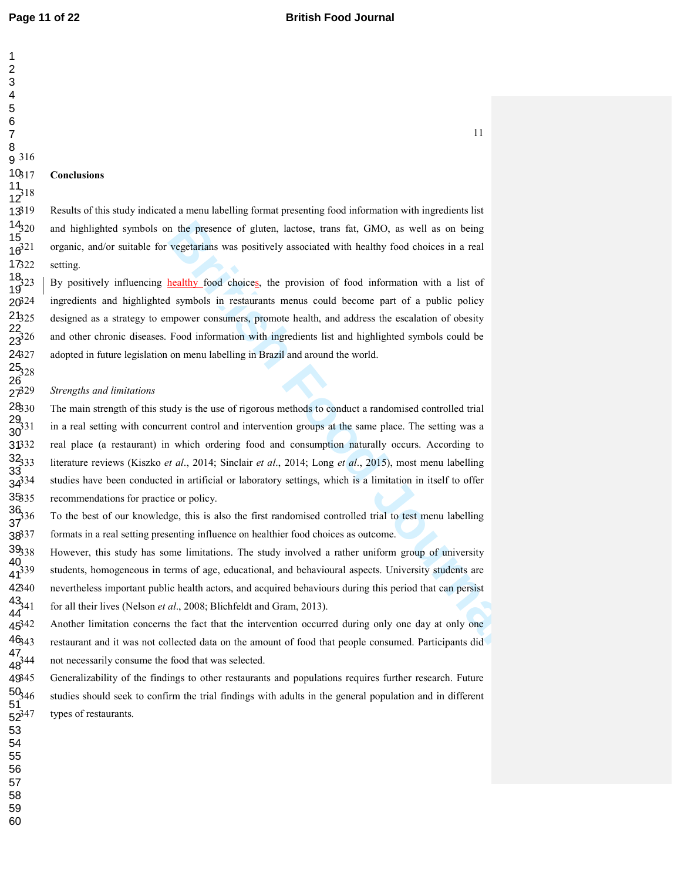## **Page 11 of 22 British Food Journal**

### **Conclusions**

Results of this study indicated a menu labelling format presenting food information with ingredients list and highlighted symbols on the presence of gluten, lactose, trans fat, GMO, as well as on being 321 organic, and/or suitable for vegetarians was positively associated with healthy food choices in a real setting.

By positively influencing healthy food choices, the provision of food information with a list of ingredients and highlighted symbols in restaurants menus could become part of a public policy designed as a strategy to empower consumers, promote health, and address the escalation of obesity and other chronic diseases. Food information with ingredients list and highlighted symbols could be adopted in future legislation on menu labelling in Brazil and around the world. 

#### $Strengths and limitations$

n the presence of gluten, lactose, trans fat, GMO, as well as on being<br>vegetarians was positively associated with healthy food choices in a real<br>the althy food choices, the provision of food information with a list of<br>symp The main strength of this study is the use of rigorous methods to conduct a randomised controlled trial in a real setting with concurrent control and intervention groups at the same place. The setting was a real place (a restaurant) in which ordering food and consumption naturally occurs. According to 333 literature reviews (Kiszko *et al*., 2014; Sinclair *et al*., 2014; Long *et al*., 2015), most menu labelling studies have been conducted in artificial or laboratory settings, which is a limitation in itself to offer recommendations for practice or policy. 

336 To the best of our knowledge, this is also the first randomised controlled trial to test menu labelling formats in a real setting presenting influence on healthier food choices as outcome. 

However, this study has some limitations. The study involved a rather uniform group of university students, homogeneous in terms of age, educational, and behavioural aspects. University students are nevertheless important public health actors, and acquired behaviours during this period that can persist 341 for all their lives (Nelson *et al*., 2008; Blichfeldt and Gram, 2013). 

Another limitation concerns the fact that the intervention occurred during only one day at only one restaurant and it was not collected data on the amount of food that people consumed. Participants did not necessarily consume the food that was selected. 

Generalizability of the findings to other restaurants and populations requires further research. Future studies should seek to confirm the trial findings with adults in the general population and in different types of restaurants.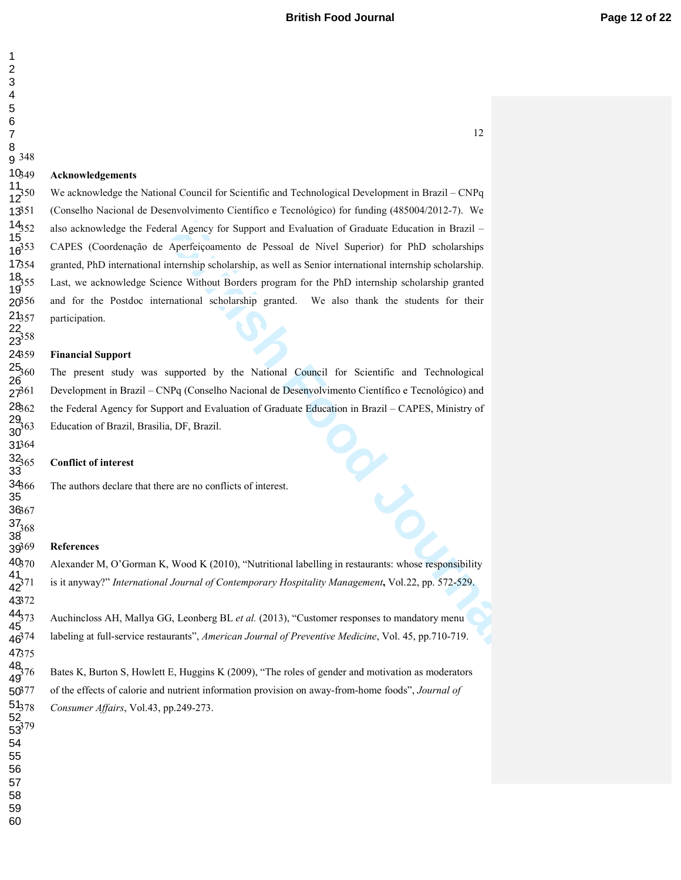#### **Acknowledgements**

Transland Repressed of Support and Evaluation of Graduate Education in Brazil –<br>Aperfeiçoamento de Pessoal de Nivel Superior) for PhD scholarships<br>thermship scholarship, as well as Senior international internship scholarsh We acknowledge the National Council for Scientific and Technological Development in Brazil – CNPq 351 (Conselho Nacional de Desenvolvimento Científico e Tecnológico) for funding (485004/2012-7). We also acknowledge the Federal Agency for Support and Evaluation of Graduate Education in Brazil – 353 CAPES (Coordenação de Aperfeiçoamento de Pessoal de Nível Superior) for PhD scholarships 354 granted, PhD international internship scholarship, as well as Senior international internship scholarship. Last, we acknowledge Science Without Borders program for the PhD internship scholarship granted and for the Postdoc international scholarship granted. We also thank the students for their participation.

### **Financial Support**

The present study was supported by the National Council for Scientific and Technological 361 Development in Brazil – CNPq (Conselho Nacional de Desenvolvimento Científico e Tecnológico) and the Federal Agency for Support and Evaluation of Graduate Education in Brazil – CAPES, Ministry of 363 Education of Brazil, Brasilia, DF, Brazil.

#### **Conflict of interest**

The authors declare that there are no conflicts of interest.

#### **References**

52<br>รุจุ?79

370 Alexander M, O'Gorman K, Wood K (2010), "Nutritional labelling in restaurants: whose responsibility 371 is it anyway?" *International Journal of Contemporary Hospitality Management***,** Vol.22, pp. 572-529.

373 Auchincloss AH, Mallya GG, Leonberg BL *et al.* (2013), "Customer responses to mandatory menu 374 labeling at full-service restaurants", *American Journal of Preventive Medicine*, Vol. 45, pp.710-719.

Bates K, Burton S, Howlett E, Huggins K (2009), "The roles of gender and motivation as moderators 377 of the effects of calorie and nutrient information provision on away-from-home foods", *Journal of Consumer Affairs*, Vol.43, pp.249-273.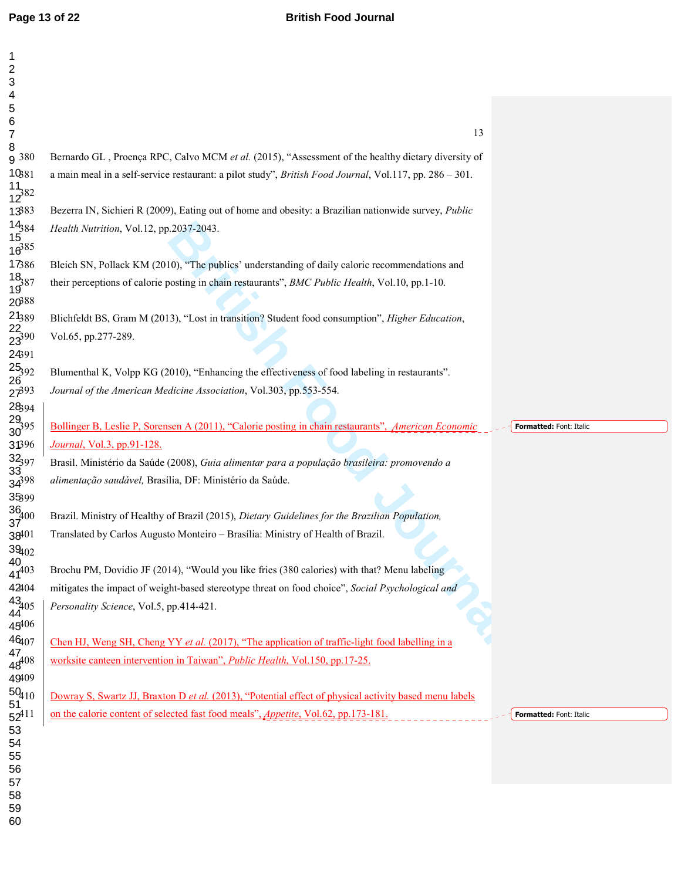| $\mathbf 1$<br>$\overline{c}$                         |                                                                                                                                |
|-------------------------------------------------------|--------------------------------------------------------------------------------------------------------------------------------|
| 3<br>$\overline{\mathbf{4}}$                          |                                                                                                                                |
| 5                                                     |                                                                                                                                |
| 6<br>$\overline{7}$                                   | 13                                                                                                                             |
| 8                                                     |                                                                                                                                |
| g 380                                                 | Bernardo GL, Proença RPC, Calvo MCM et al. (2015), "Assessment of the healthy dietary diversity of                             |
| $10_{381}$                                            | a main meal in a self-service restaurant: a pilot study", British Food Journal, Vol.117, pp. 286 - 301.                        |
| $\frac{11}{12}82$                                     |                                                                                                                                |
| 1383                                                  | Bezerra IN, Sichieri R (2009), Eating out of home and obesity: a Brazilian nationwide survey, Public                           |
| $\frac{14}{15}$<br>$\frac{15}{16}$<br>$\frac{85}{16}$ | Health Nutrition, Vol.12, pp.2037-2043.                                                                                        |
|                                                       |                                                                                                                                |
| 17386                                                 | Bleich SN, Pollack KM (2010), "The publics' understanding of daily caloric recommendations and                                 |
| $\frac{18}{19}87$                                     | their perceptions of calorie posting in chain restaurants", BMC Public Health, Vol.10, pp.1-10.                                |
| 20888                                                 |                                                                                                                                |
| 21389                                                 | Blichfeldt BS, Gram M (2013), "Lost in transition? Student food consumption", Higher Education,                                |
| $\frac{22}{23^{390}}$                                 | Vol.65, pp.277-289.                                                                                                            |
| 24391                                                 |                                                                                                                                |
| $\frac{25}{26}$<br>92                                 | Blumenthal K, Volpp KG (2010), "Enhancing the effectiveness of food labeling in restaurants".                                  |
| $27^{393}$                                            | Journal of the American Medicine Association, Vol.303, pp.553-554.                                                             |
| 2894                                                  |                                                                                                                                |
| $\frac{29}{30}$ 95                                    | Bollinger B, Leslie P, Sorensen A (2011), "Calorie posting in chain restaurants", American Economic<br>Formatted: Font: Italic |
| 31396                                                 | <i>Journal</i> , Vol.3, pp.91-128.                                                                                             |
| $32_{397}$<br>$33_{32}$                               | Brasil. Ministério da Saúde (2008), Guia alimentar para a população brasileira: promovendo a                                   |
| $34^{398}$                                            | alimentação saudável, Brasília, DF: Ministério da Saúde.                                                                       |
| 35399                                                 |                                                                                                                                |
| $\frac{36}{37}$ <sup>400</sup>                        | Brazil. Ministry of Healthy of Brazil (2015), Dietary Guidelines for the Brazilian Population,                                 |
| 38401                                                 | Translated by Carlos Augusto Monteiro - Brasília: Ministry of Health of Brazil.                                                |
| $39_{102}$                                            |                                                                                                                                |
| 40<br>$41^{403}$                                      | Brochu PM, Dovidio JF (2014), "Would you like fries (380 calories) with that? Menu labeling                                    |
| 42404                                                 | mitigates the impact of weight-based stereotype threat on food choice", Social Psychological and                               |
| $\frac{43}{44}$ 05                                    | Personality Science, Vol.5, pp.414-421.                                                                                        |
| 45406                                                 |                                                                                                                                |
| 46407                                                 | Chen HJ, Weng SH, Cheng YY et al. $(2017)$ , "The application of traffic-light food labelling in a                             |
| $\frac{47}{48^{408}}$                                 | worksite canteen intervention in Taiwan", <i>Public Health</i> , Vol.150, pp.17-25.                                            |
| 49409                                                 |                                                                                                                                |
| $\frac{50}{51}$ 10                                    | Dowray S, Swartz JJ, Braxton D et al. (2013), "Potential effect of physical activity based menu labels                         |
| $52^{411}$                                            | on the calorie content of selected fast food meals", <i>Appetite</i> , Vol.62, pp.173-181.<br>Formatted: Font: Italic          |
| 53                                                    |                                                                                                                                |
| 54<br>55                                              |                                                                                                                                |
| 56                                                    |                                                                                                                                |
| 57                                                    |                                                                                                                                |
| 58<br>59                                              |                                                                                                                                |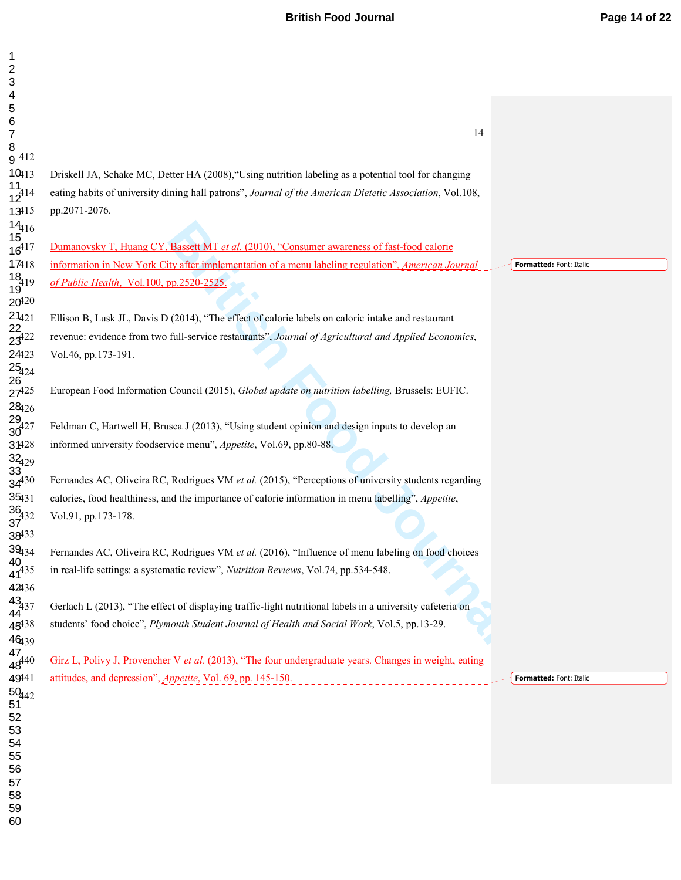# **British Food Journal** *Page 14 of 22*

| $\mathbf 1$                       |                                                                                                           |                         |
|-----------------------------------|-----------------------------------------------------------------------------------------------------------|-------------------------|
| $\overline{c}$<br>3               |                                                                                                           |                         |
| 4                                 |                                                                                                           |                         |
| 5                                 |                                                                                                           |                         |
| 6                                 | 14                                                                                                        |                         |
| $\overline{7}$<br>$\, 8$          |                                                                                                           |                         |
| g 412                             |                                                                                                           |                         |
| $10_{13}$                         | Driskell JA, Schake MC, Detter HA (2008), "Using nutrition labeling as a potential tool for changing      |                         |
| $\frac{11}{12}$ <sup>414</sup>    | eating habits of university dining hall patrons", Journal of the American Dietetic Association, Vol.108,  |                         |
| 13415                             | pp.2071-2076.                                                                                             |                         |
|                                   |                                                                                                           |                         |
| $14_{16}$<br>$15$<br>$16^{417}$   | Dumanovsky T, Huang CY, Bassett MT et al. (2010), "Consumer awareness of fast-food calorie                |                         |
| 17418                             | information in New York City after implementation of a menu labeling regulation", American Journal        | Formatted: Font: Italic |
| $\frac{18}{19}$ <sup>19</sup>     | of Public Health, Vol.100, pp.2520-2525.                                                                  |                         |
| $20^{420}$                        |                                                                                                           |                         |
| $21_{421}$                        | Ellison B, Lusk JL, Davis D (2014), "The effect of calorie labels on caloric intake and restaurant        |                         |
| 22/23                             | revenue: evidence from two full-service restaurants", Journal of Agricultural and Applied Economics,      |                         |
| 24423                             | Vol.46, pp.173-191.                                                                                       |                         |
|                                   |                                                                                                           |                         |
| $\frac{25}{26}$<br>26             |                                                                                                           |                         |
| $27^{425}$<br>28426               | European Food Information Council (2015), Global update on nutrition labelling, Brussels: EUFIC.          |                         |
|                                   |                                                                                                           |                         |
| $\frac{29}{30^{427}}$             | Feldman C, Hartwell H, Brusca J (2013), "Using student opinion and design inputs to develop an            |                         |
| 31428                             | informed university foodservice menu", Appetite, Vol.69, pp.80-88.                                        |                         |
| $\frac{32}{33}$                   |                                                                                                           |                         |
| $34^{30}$                         | Fernandes AC, Oliveira RC, Rodrigues VM et al. (2015), "Perceptions of university students regarding      |                         |
| 35431                             | calories, food healthiness, and the importance of calorie information in menu labelling", Appetite,       |                         |
| $\frac{36}{37}$ <sup>432</sup>    | Vol.91, pp.173-178.                                                                                       |                         |
| 38433                             |                                                                                                           |                         |
| $39_{134}$                        | Fernandes AC, Oliveira RC, Rodrigues VM et al. (2016), "Influence of menu labeling on food choices        |                         |
| 40<br>$47^{435}$                  | in real-life settings: a systematic review", Nutrition Reviews, Vol.74, pp.534-548.                       |                         |
| 42436                             |                                                                                                           |                         |
| $43_{437}$<br>44                  | Gerlach L (2013), "The effect of displaying traffic-light nutritional labels in a university cafeteria on |                         |
| $45^{438}$                        | students' food choice", Plymouth Student Journal of Health and Social Work, Vol.5, pp.13-29.              |                         |
| 46439                             |                                                                                                           |                         |
| $^{47}_{48}$<br>48 <sup>440</sup> |                                                                                                           |                         |
|                                   | Girz L, Polivy J, Provencher V et al. (2013), "The four undergraduate years. Changes in weight, eating    |                         |
| 49441                             | attitudes, and depression", <i>Appetite</i> , Vol. 69, pp. 145-150.                                       | Formatted: Font: Italic |
| $50_{442}$<br>51                  |                                                                                                           |                         |
| 52                                |                                                                                                           |                         |
| 53                                |                                                                                                           |                         |
| 54<br>55                          |                                                                                                           |                         |
| 56                                |                                                                                                           |                         |
| 57                                |                                                                                                           |                         |
| 58<br>59                          |                                                                                                           |                         |
| 60                                |                                                                                                           |                         |
|                                   |                                                                                                           |                         |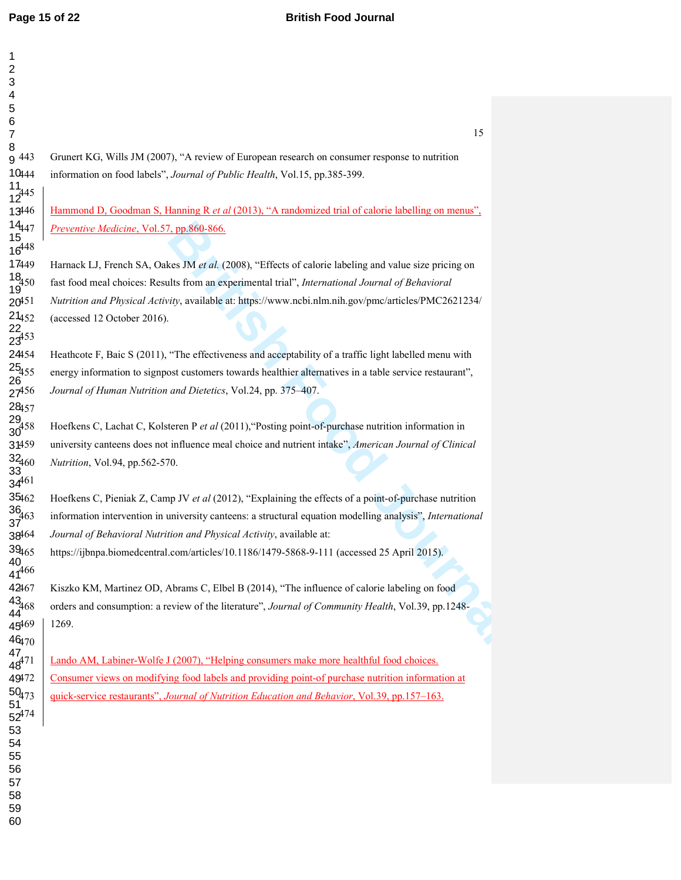*B*, pp.860-866,<br> **Bridge SM** *Bt al.* (2008), "Effects of calorie labeling and value size pricing on<br>
the strom an experimental trial", *International Journal of Behavioral*<br> *By*, available at: https://www.nebi.nlm.nih.g Hammond D, Goodman S, Hanning R *et al* (2013), "A randomized trial of calorie labelling on menus", *Preventive Medicine*, Vol.57, pp.860-866. Harnack LJ, French SA, Oakes JM *et al.* (2008), "Effects of calorie labeling and value size pricing on fast food meal choices: Results from an experimental trial", *International Journal of Behavioral Nutrition and Physical Activity*, available at: https://www.ncbi.nlm.nih.gov/pmc/articles/PMC2621234/ (accessed 12 October 2016). Heathcote F, Baic S (2011), "The effectiveness and acceptability of a traffic light labelled menu with energy information to signpost customers towards healthier alternatives in a table service restaurant", *Journal of Human Nutrition and Dietetics*, Vol.24, pp. 375–407.

Grunert KG, Wills JM (2007), "A review of European research on consumer response to nutrition

444 information on food labels", *Journal of Public Health*, Vol.15, pp.385-399.

458 Hoefkens C, Lachat C, Kolsteren P *et al* (2011),"Posting point-of-purchase nutrition information in university canteens does not influence meal choice and nutrient intake", *American Journal of Clinical Nutrition*, Vol.94, pp.562-570.

462 Hoefkens C, Pieniak Z, Camp JV *et al* (2012), "Explaining the effects of a point-of-purchase nutrition information intervention in university canteens: a structural equation modelling analysis", *International Journal of Behavioral Nutrition and Physical Activity*, available at:

https://ijbnpa.biomedcentral.com/articles/10.1186/1479-5868-9-111 (accessed 25 April 2015).

467 Kiszko KM, Martinez OD, Abrams C, Elbel B (2014), "The influence of calorie labeling on food 468 orders and consumption: a review of the literature", *Journal of Community Health*, Vol.39, pp.1248- 1269.

Lando AM, Labiner-Wolfe J (2007), "Helping consumers make more healthful food choices. 472 Consumer views on modifying food labels and providing point-of purchase nutrition information at 473 quick-service restaurants", *Journal of Nutrition Education and Behavior*, Vol.39, pp.157–163.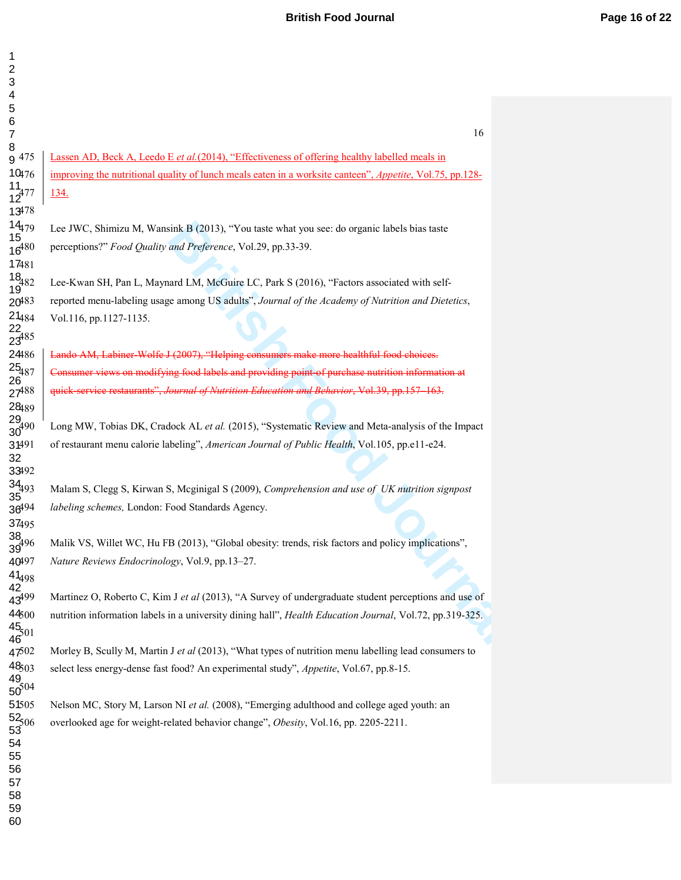# **British Food Journal** *Page 16 of 22*

| $\overline{\mathbf{c}}$<br>3<br>4                   |                                                                                                                  |
|-----------------------------------------------------|------------------------------------------------------------------------------------------------------------------|
| 5                                                   |                                                                                                                  |
| 6<br>$\overline{7}$                                 | 16                                                                                                               |
| 8<br>g 475                                          | Lassen AD, Beck A, Leedo E et al. (2014), "Effectiveness of offering healthy labelled meals in                   |
| 10476                                               | improving the nutritional quality of lunch meals eaten in a worksite canteen", Appetite, Vol. 75, pp. 128-       |
| $\frac{11}{12}$ <sup>477</sup>                      | 134.                                                                                                             |
| 13478                                               |                                                                                                                  |
|                                                     | Lee JWC, Shimizu M, Wansink B (2013), "You taste what you see: do organic labels bias taste                      |
| $14_{179}$<br>$15_{16}$<br>$16^{480}$               | perceptions?" Food Quality and Preference, Vol.29, pp.33-39.                                                     |
| 17481                                               |                                                                                                                  |
| $\frac{18}{19}$ 82                                  | Lee-Kwan SH, Pan L, Maynard LM, McGuire LC, Park S (2016), "Factors associated with self-                        |
| 20483                                               | reported menu-labeling usage among US adults", Journal of the Academy of Nutrition and Dietetics,                |
| $\frac{21}_{484}$<br>$\frac{22}{23}$ <sup>485</sup> | Vol.116, pp.1127-1135.                                                                                           |
|                                                     |                                                                                                                  |
| 24486                                               | Lando AM, Labiner Wolfe J (2007), "Helping consumers make more healthful food choices.                           |
| $\frac{25}{26}$<br>26                               | Consumer views on modifying food labels and providing point of purchase nutrition information at                 |
| $27^{488}$                                          | quick-service restaurants", Journal of Nutrition Education and Behavior, Vol.39, pp.157-163.                     |
| 28489                                               |                                                                                                                  |
| $\frac{29}{30^{490}}$                               | Long MW, Tobias DK, Cradock AL et al. (2015), "Systematic Review and Meta-analysis of the Impact                 |
| 31491<br>32<br>33492                                | of restaurant menu calorie labeling", American Journal of Public Health, Vol.105, pp.e11-e24.                    |
| $\frac{34}{35}$ <sup>93</sup>                       | Malam S, Clegg S, Kirwan S, Mcginigal S (2009), Comprehension and use of UK nutrition signpost                   |
| $36^{494}$                                          | labeling schemes, London: Food Standards Agency.                                                                 |
| 37495                                               |                                                                                                                  |
| 38 <sub>496</sub>                                   | Malik VS, Willet WC, Hu FB (2013), "Global obesity: trends, risk factors and policy implications",               |
| 40497                                               | Nature Reviews Endocrinology, Vol.9, pp.13-27.                                                                   |
| $41_{498}$<br>$42$<br>$43_{499}$                    |                                                                                                                  |
|                                                     | Martinez O, Roberto C, Kim J et al (2013), "A Survey of undergraduate student perceptions and use of             |
| 44500                                               | nutrition information labels in a university dining hall", <i>Health Education Journal</i> , Vol.72, pp.319-325. |
| $\frac{45}{46}01$                                   |                                                                                                                  |
| 4702                                                | Morley B, Scully M, Martin J et al (2013), "What types of nutrition menu labelling lead consumers to             |
| $\frac{48_{503}}{49}$<br>50 <sup>504</sup>          | select less energy-dense fast food? An experimental study", Appetite, Vol.67, pp.8-15.                           |
|                                                     |                                                                                                                  |
| 51505                                               | Nelson MC, Story M, Larson NI et al. (2008), "Emerging adulthood and college aged youth: an                      |
| $\frac{52}{53}06$                                   | overlooked age for weight-related behavior change", Obesity, Vol.16, pp. 2205-2211.                              |
| 54                                                  |                                                                                                                  |
| 55<br>56                                            |                                                                                                                  |
| 57                                                  |                                                                                                                  |
| 58                                                  |                                                                                                                  |
| 59<br>60                                            |                                                                                                                  |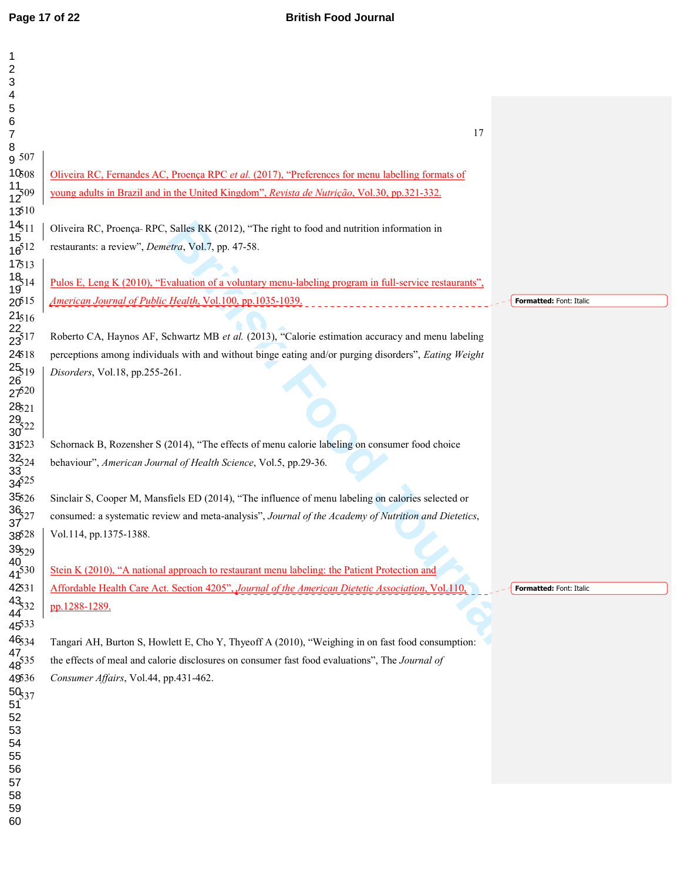| $\mathbf 1$                                               |                                                                                                        |                         |
|-----------------------------------------------------------|--------------------------------------------------------------------------------------------------------|-------------------------|
| $\overline{2}$<br>3                                       |                                                                                                        |                         |
| 4                                                         |                                                                                                        |                         |
| 5                                                         |                                                                                                        |                         |
| 6                                                         | 17                                                                                                     |                         |
| $\boldsymbol{7}$<br>8                                     |                                                                                                        |                         |
| g 507                                                     |                                                                                                        |                         |
| $10_{508}$                                                | Oliveira RC, Fernandes AC, Proença RPC et al. (2017), "Preferences for menu labelling formats of       |                         |
| $\frac{11}{12}$ 09                                        | young adults in Brazil and in the United Kingdom", Revista de Nutrição, Vol.30, pp.321-332.            |                         |
| 13510                                                     |                                                                                                        |                         |
| $\frac{14}{15}$ 11                                        | Oliveira RC, Proença-RPC, Salles RK (2012), "The right to food and nutrition information in            |                         |
| $16^{512}$                                                | restaurants: a review", Demetra, Vol.7, pp. 47-58.                                                     |                         |
| 17513                                                     |                                                                                                        |                         |
| $\frac{18}{19}$ 14                                        | Pulos E, Leng K (2010), "Evaluation of a voluntary menu-labeling program in full-service restaurants", |                         |
| 20 <sup>515</sup>                                         | American Journal of Public Health, Vol.100, pp.1035-1039.                                              | Formatted: Font: Italic |
| $21_{516}$                                                |                                                                                                        |                         |
| $\frac{22}{23}$ 17                                        | Roberto CA, Haynos AF, Schwartz MB et al. (2013), "Calorie estimation accuracy and menu labeling       |                         |
| 24518                                                     | perceptions among individuals with and without binge eating and/or purging disorders", Eating Weight   |                         |
| $\frac{25}{26}$ 19                                        | Disorders, Vol.18, pp.255-261.                                                                         |                         |
| $27^{520}$                                                |                                                                                                        |                         |
| 28521                                                     |                                                                                                        |                         |
| $\frac{29}{30}$ <sup>22</sup>                             |                                                                                                        |                         |
| 31523                                                     | Schornack B, Rozensher S (2014), "The effects of menu calorie labeling on consumer food choice         |                         |
|                                                           | behaviour", American Journal of Health Science, Vol.5, pp.29-36.                                       |                         |
| $\begin{array}{c} 32_{524} \\ 33 \\ 34^{525} \end{array}$ |                                                                                                        |                         |
| 35526                                                     | Sinclair S, Cooper M, Mansfiels ED (2014), "The influence of menu labeling on calories selected or     |                         |
| $\frac{36}{37}$ <sup>27</sup>                             | consumed: a systematic review and meta-analysis", Journal of the Academy of Nutrition and Dietetics,   |                         |
|                                                           |                                                                                                        |                         |
| 38528<br>$39_{529}$                                       | Vol.114, pp.1375-1388.                                                                                 |                         |
| $\frac{40}{41^{530}}$                                     |                                                                                                        |                         |
|                                                           | Stein K (2010), "A national approach to restaurant menu labeling: the Patient Protection and           |                         |
| 42531                                                     | Affordable Health Care Act. Section 4205", Journal of the American Dietetic Association, Vol.110,      | Formatted: Font: Italic |
| 43/43                                                     | pp.1288-1289.                                                                                          |                         |
| 4533                                                      |                                                                                                        |                         |
| 46534                                                     | Tangari AH, Burton S, Howlett E, Cho Y, Thyeoff A (2010), "Weighing in on fast food consumption:       |                         |
| $\frac{47}{48}$ 35                                        | the effects of meal and calorie disclosures on consumer fast food evaluations", The Journal of         |                         |
| 49536                                                     | Consumer Affairs, Vol.44, pp.431-462.                                                                  |                         |
| $\frac{50}{51}37$                                         |                                                                                                        |                         |
| 52                                                        |                                                                                                        |                         |
| 53<br>54                                                  |                                                                                                        |                         |
| 55                                                        |                                                                                                        |                         |
| 56                                                        |                                                                                                        |                         |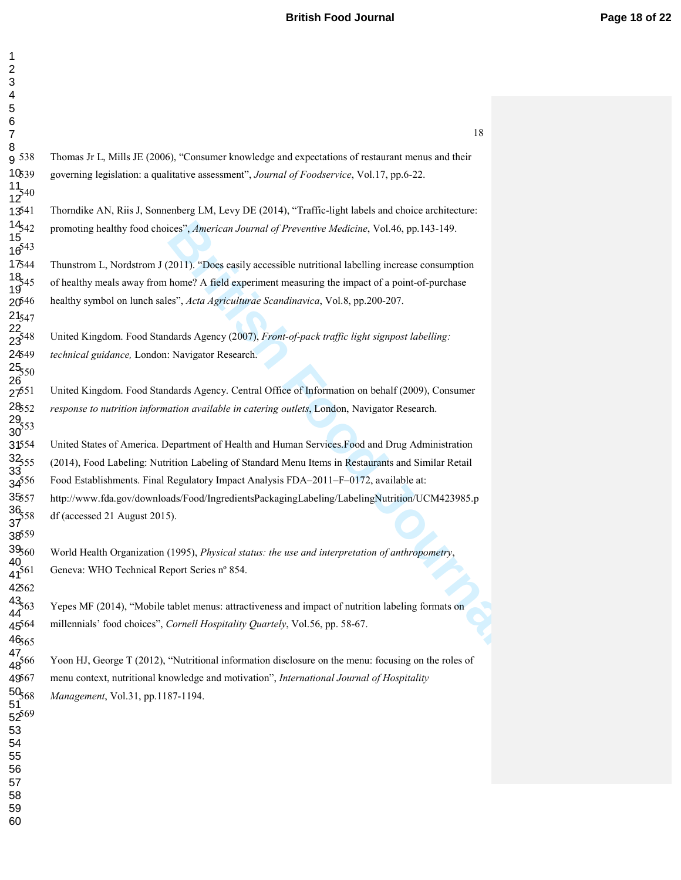# **British Food Journal** *Page 18 of 22*

| 1               |                                        |     |  |
|-----------------|----------------------------------------|-----|--|
|                 |                                        |     |  |
| 3               |                                        |     |  |
| 4               |                                        |     |  |
| 5<br>6          |                                        |     |  |
| 7               |                                        |     |  |
| 8               |                                        |     |  |
|                 | $9^{538}$                              |     |  |
|                 | 10,39                                  |     |  |
|                 |                                        |     |  |
|                 | $\frac{11}{12}$ <sup>540</sup>         |     |  |
|                 | $13^{41}$                              |     |  |
|                 | $14_{542}$                             |     |  |
|                 | $\frac{15}{16}$ <sup>13</sup>          |     |  |
|                 |                                        |     |  |
|                 | 17544                                  |     |  |
|                 | $18_{545}$                             |     |  |
|                 | 19 <sup>'4.</sup><br>20 <sup>546</sup> |     |  |
|                 | $21_{54}$                              |     |  |
|                 | $\frac{22}{23^{548}}$                  |     |  |
|                 |                                        |     |  |
|                 | 24549                                  |     |  |
|                 | $25_{50}$                              |     |  |
|                 | 26                                     |     |  |
|                 | $27^{51}$                              |     |  |
|                 | 28552                                  |     |  |
|                 | $\frac{29}{353}$<br>30                 |     |  |
|                 | 31554                                  |     |  |
|                 | $32_{555}$                             |     |  |
|                 | 33                                     |     |  |
|                 | $34^{556}$                             |     |  |
| ί               | 35557                                  |     |  |
|                 | $\frac{36}{358}$                       |     |  |
|                 | $\frac{1}{2}$                          |     |  |
|                 | 38559                                  |     |  |
|                 | ,<br>395 <sub>6(</sub>                 |     |  |
| 41 <sup>.</sup> | 40                                     | 561 |  |
|                 | 42562                                  |     |  |
|                 | $43_{563}$                             |     |  |
| 44              |                                        |     |  |
|                 | $45^{64}$                              |     |  |
|                 | 46,65                                  |     |  |
| 47              |                                        | 566 |  |
|                 | 48                                     |     |  |
|                 | 49567                                  |     |  |
| 51              | 50 <sub>568</sub>                      |     |  |
|                 | $52^{569}$                             |     |  |
| 53              | 3                                      |     |  |
| 54              |                                        |     |  |
| 55              |                                        |     |  |
| 56              |                                        |     |  |
| 57              |                                        |     |  |
| 58              | 3                                      |     |  |
|                 |                                        |     |  |

|                          | 18                                                                                                                                                                                               |
|--------------------------|--------------------------------------------------------------------------------------------------------------------------------------------------------------------------------------------------|
| 538                      | Thomas Jr L, Mills JE (2006), "Consumer knowledge and expectations of restaurant menus and their                                                                                                 |
| 539<br>540               | governing legislation: a qualitative assessment", Journal of Foodservice, Vol.17, pp.6-22.                                                                                                       |
| 541                      | Thorndike AN, Riis J, Sonnenberg LM, Levy DE (2014), "Traffic-light labels and choice architecture:                                                                                              |
| 542<br>543               | promoting healthy food choices", American Journal of Preventive Medicine, Vol.46, pp.143-149.                                                                                                    |
| 544                      | Thunstrom L, Nordstrom J (2011). "Does easily accessible nutritional labelling increase consumption                                                                                              |
| 345                      | of healthy meals away from home? A field experiment measuring the impact of a point-of-purchase                                                                                                  |
| p46<br>547               | healthy symbol on lunch sales", Acta Agriculturae Scandinavica, Vol.8, pp.200-207.                                                                                                               |
| 548                      | United Kingdom. Food Standards Agency (2007), Front-of-pack traffic light signpost labelling:                                                                                                    |
| 549<br>550               | technical guidance, London: Navigator Research.                                                                                                                                                  |
| 551                      | United Kingdom. Food Standards Agency. Central Office of Information on behalf (2009), Consumer                                                                                                  |
| 852<br>553               | response to nutrition information available in catering outlets, London, Navigator Research.                                                                                                     |
| 554                      | United States of America. Department of Health and Human Services. Food and Drug Administration                                                                                                  |
| 355                      | (2014), Food Labeling: Nutrition Labeling of Standard Menu Items in Restaurants and Similar Retail                                                                                               |
| 556                      | Food Establishments. Final Regulatory Impact Analysis FDA-2011-F-0172, available at:                                                                                                             |
| 657<br>558               | http://www.fda.gov/downloads/Food/IngredientsPackagingLabeling/LabelingNutrition/UCM423985.p<br>df (accessed 21 August 2015).                                                                    |
| 559<br>560<br>561        | World Health Organization (1995), Physical status: the use and interpretation of anthropometry,<br>Geneva: WHO Technical Report Series nº 854.                                                   |
| 562                      |                                                                                                                                                                                                  |
| $\frac{563}{563}$<br>564 | Yepes MF (2014), "Mobile tablet menus: attractiveness and impact of nutrition labeling formats on<br>millennials' food choices", Cornell Hospitality Quartely, Vol.56, pp. 58-67.                |
| <b>5</b> 65              |                                                                                                                                                                                                  |
| 566                      | Yoon HJ, George T (2012), "Nutritional information disclosure on the menu: focusing on the roles of<br>menu context, nutritional knowledge and motivation", International Journal of Hospitality |
| 567<br>568               |                                                                                                                                                                                                  |
| 569                      | <i>Management, Vol.31, pp.1187-1194.</i>                                                                                                                                                         |
|                          |                                                                                                                                                                                                  |
|                          |                                                                                                                                                                                                  |
|                          |                                                                                                                                                                                                  |
|                          |                                                                                                                                                                                                  |
|                          |                                                                                                                                                                                                  |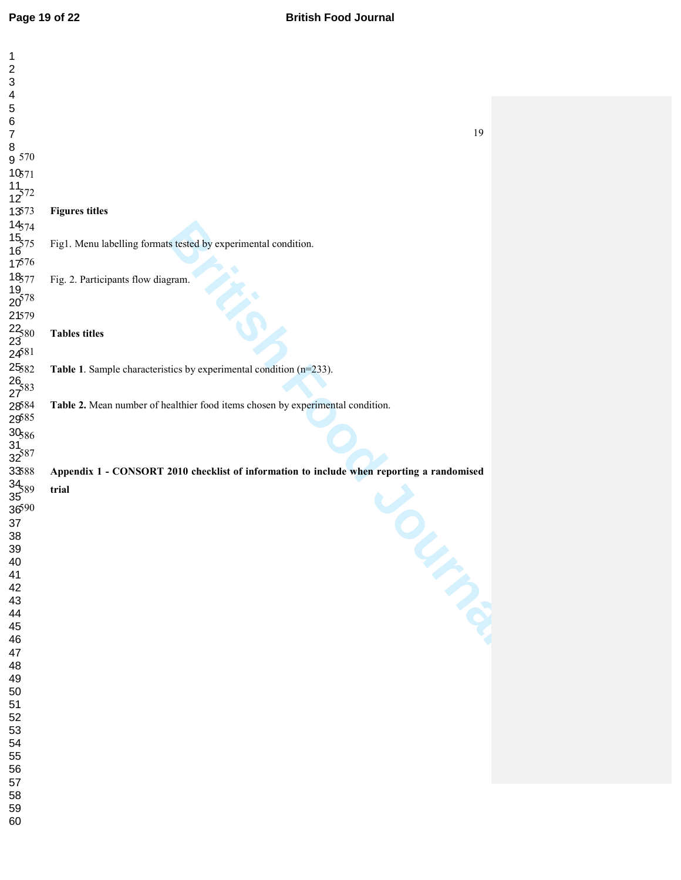## **Page 19 of 22 British Food Journal**

| 1<br>$\overline{\mathbf{c}}$<br>3<br>$\overline{\mathbf{4}}$                                            |                                                                                           |  |
|---------------------------------------------------------------------------------------------------------|-------------------------------------------------------------------------------------------|--|
| 5                                                                                                       |                                                                                           |  |
| $\,6$<br>$\overline{7}$                                                                                 | 19                                                                                        |  |
| 8                                                                                                       |                                                                                           |  |
| 9570                                                                                                    |                                                                                           |  |
| 10,71                                                                                                   |                                                                                           |  |
| $\frac{11}{12}$ 72                                                                                      |                                                                                           |  |
| 13573                                                                                                   | <b>Figures titles</b>                                                                     |  |
| $14574$<br>$15575$<br>$16$<br>$17576$                                                                   | Fig1. Menu labelling formats tested by experimental condition.                            |  |
|                                                                                                         |                                                                                           |  |
|                                                                                                         | Fig. 2. Participants flow diagram.                                                        |  |
| $\begin{array}{c}\n 18.77 \\  19.78 \\  20^{578} \\  21579\n \end{array}$                               |                                                                                           |  |
|                                                                                                         |                                                                                           |  |
|                                                                                                         | <b>Tables titles</b>                                                                      |  |
|                                                                                                         |                                                                                           |  |
| $22\overline{380}$<br>$23\overline{481}$<br>$25\overline{82}$<br>$26\overline{27}$<br>$27\overline{33}$ | Table 1. Sample characteristics by experimental condition (n=233).                        |  |
|                                                                                                         |                                                                                           |  |
|                                                                                                         | Table 2. Mean number of healthier food items chosen by experimental condition.            |  |
| 28584<br>29585                                                                                          |                                                                                           |  |
| $\begin{array}{c}\n 30_{586} \\  31_{32} \\  32_{587}\n \end{array}$                                    |                                                                                           |  |
|                                                                                                         |                                                                                           |  |
| 33588                                                                                                   | Appendix 1 - CONSORT 2010 checklist of information to include when reporting a randomised |  |
| $\frac{34}{35}89$                                                                                       | trial                                                                                     |  |
| 36590                                                                                                   |                                                                                           |  |
| 37<br>38                                                                                                |                                                                                           |  |
| 39                                                                                                      |                                                                                           |  |
| 40                                                                                                      | Impos                                                                                     |  |
| 41<br>42                                                                                                |                                                                                           |  |
| 43                                                                                                      |                                                                                           |  |
| 44<br>45                                                                                                |                                                                                           |  |
| 46                                                                                                      |                                                                                           |  |
| 47                                                                                                      |                                                                                           |  |
| 48<br>49                                                                                                |                                                                                           |  |
| 50                                                                                                      |                                                                                           |  |
| 51<br>52                                                                                                |                                                                                           |  |
| 53                                                                                                      |                                                                                           |  |
| 54                                                                                                      |                                                                                           |  |
| 55<br>56                                                                                                |                                                                                           |  |
| 57                                                                                                      |                                                                                           |  |
| 58<br>59                                                                                                |                                                                                           |  |
| 60                                                                                                      |                                                                                           |  |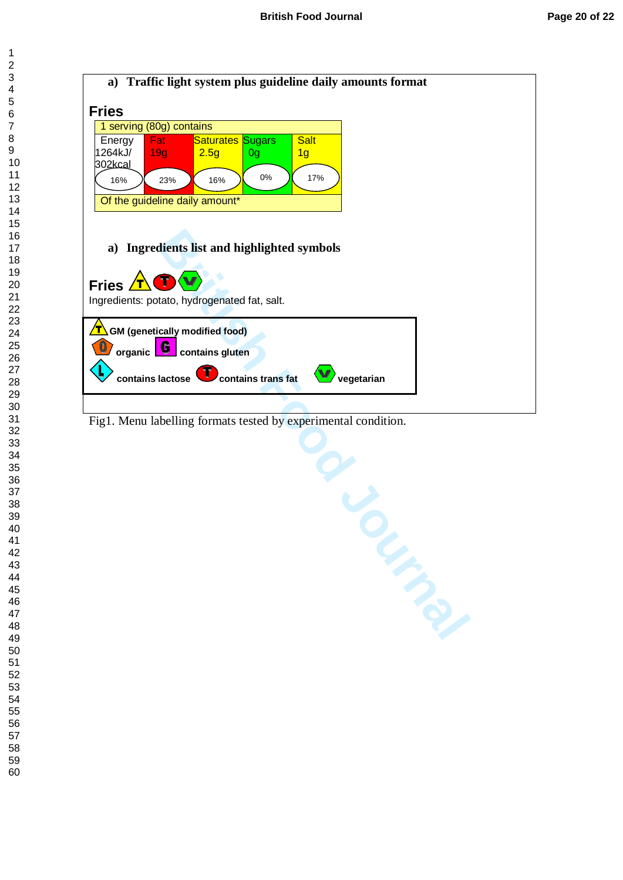

Fig1. Menu labelling formats tested by experimental condition.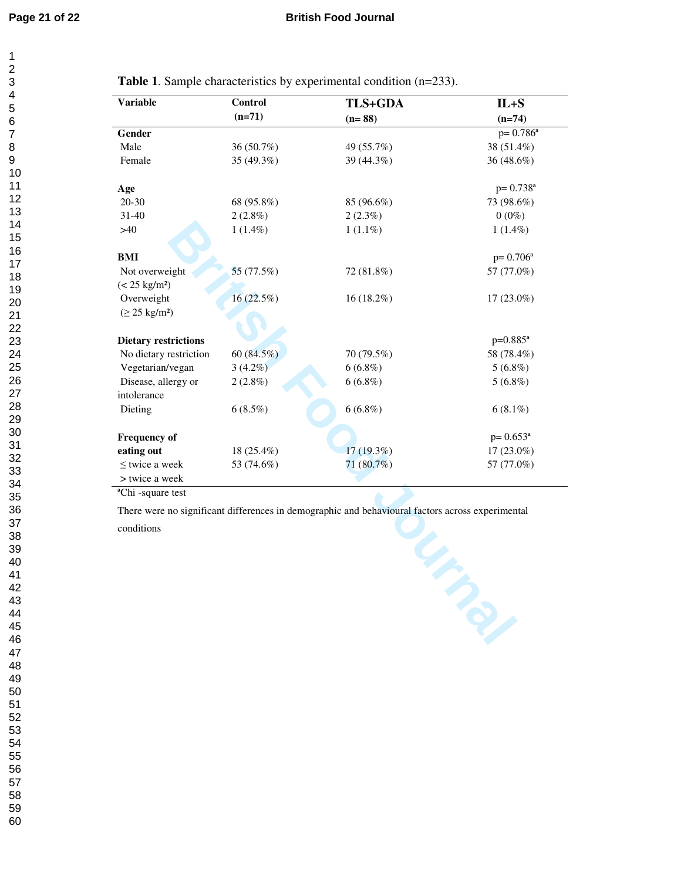**Table 1**. Sample characteristics by experimental condition (n=233).

| <b>Variable</b>             | Control    | <b>TLS+GDA</b> | $IL + S$                 |
|-----------------------------|------------|----------------|--------------------------|
|                             | $(n=71)$   | $(n=88)$       | $(n=74)$                 |
| Gender                      |            |                | $p = 0.786^a$            |
| Male                        | 36 (50.7%) | 49 (55.7%)     | 38 (51.4%)               |
| Female                      | 35 (49.3%) | 39 (44.3%)     | 36 (48.6%)               |
| Age                         |            |                | $p = 0.738$ <sup>a</sup> |
| $20 - 30$                   | 68 (95.8%) | 85 (96.6%)     | 73 (98.6%)               |
| $31 - 40$                   | $2(2.8\%)$ | $2(2.3\%)$     | $0(0\%)$                 |
| >40                         | $1(1.4\%)$ | $1(1.1\%)$     | $1(1.4\%)$               |
| BMI                         |            |                | $p = 0.706^a$            |
| Not overweight              | 55 (77.5%) | 72 (81.8%)     | 57 (77.0%)               |
| $(< 25 \text{ kg/m}^2)$     |            |                |                          |
| Overweight                  | 16(22.5%)  | 16 (18.2%)     | $17(23.0\%)$             |
| $(\geq 25 \text{ kg/m}^2)$  |            |                |                          |
|                             |            |                |                          |
| <b>Dietary restrictions</b> |            |                | $p=0.885^a$              |
| No dietary restriction      | 60 (84.5%) | 70 (79.5%)     | 58 (78.4%)               |
| Vegetarian/vegan            | $3(4.2\%)$ | $6(6.8\%)$     | $5(6.8\%)$               |
| Disease, allergy or         | $2(2.8\%)$ | $6(6.8\%)$     | $5(6.8\%)$               |
| intolerance                 |            |                |                          |
| Dieting                     | $6(8.5\%)$ | $6(6.8\%)$     | $6(8.1\%)$               |
| <b>Frequency of</b>         |            |                | $p=0.653^a$              |
| eating out                  | 18 (25.4%) | $17(19.3\%)$   | $17(23.0\%)$             |
| < twice a week              | 53 (74.6%) | $71(80.7\%)$   | 57 (77.0%)               |
| > twice a week              |            |                |                          |

ªChi -square test

**Britannical factors across experimental** There were no significant differences in demographic and behavioural factors across experimental

conditions